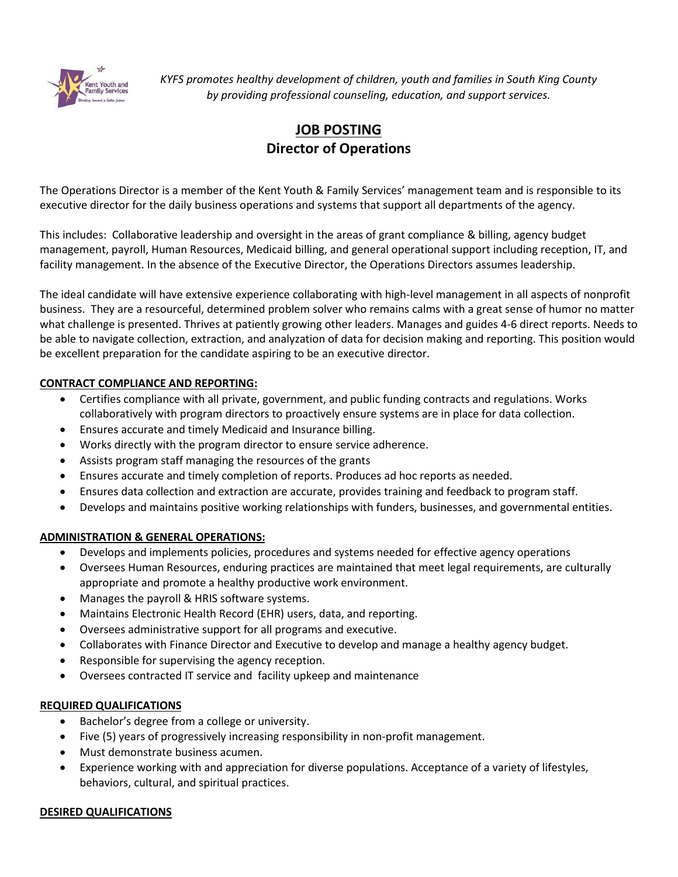

*KYFS promotes healthy development of children, youth and families in South King County by providing professional counseling, education, and support services.*

# **JOB POSTING Director of Operations**

The Operations Director is a member of the Kent Youth & Family Services' management team and is responsible to its executive director for the daily business operations and systems that support all departments of the agency.

This includes: Collaborative leadership and oversight in the areas of grant compliance & billing, agency budget management, payroll, Human Resources, Medicaid billing, and general operational support including reception, IT, and facility management. In the absence of the Executive Director, the Operations Directors assumes leadership.

The ideal candidate will have extensive experience collaborating with high-level management in all aspects of nonprofit business. They are a resourceful, determined problem solver who remains calms with a great sense of humor no matter what challenge is presented. Thrives at patiently growing other leaders. Manages and guides 4-6 direct reports. Needs to be able to navigate collection, extraction, and analyzation of data for decision making and reporting. This position would be excellent preparation for the candidate aspiring to be an executive director.

# **CONTRACT COMPLIANCE AND REPORTING:**

- Certifies compliance with all private, government, and public funding contracts and regulations. Works collaboratively with program directors to proactively ensure systems are in place for data collection.
- Ensures accurate and timely Medicaid and Insurance billing.
- Works directly with the program director to ensure service adherence.
- Assists program staff managing the resources of the grants
- Ensures accurate and timely completion of reports. Produces ad hoc reports as needed.
- Ensures data collection and extraction are accurate, provides training and feedback to program staff.
- Develops and maintains positive working relationships with funders, businesses, and governmental entities.

## **ADMINISTRATION & GENERAL OPERATIONS:**

- Develops and implements policies, procedures and systems needed for effective agency operations
- Oversees Human Resources, enduring practices are maintained that meet legal requirements, are culturally appropriate and promote a healthy productive work environment.
- Manages the payroll & HRIS software systems.
- Maintains Electronic Health Record (EHR) users, data, and reporting.
- Oversees administrative support for all programs and executive.
- Collaborates with Finance Director and Executive to develop and manage a healthy agency budget.
- Responsible for supervising the agency reception.
- Oversees contracted IT service and facility upkeep and maintenance

## **REQUIRED QUALIFICATIONS**

- Bachelor's degree from a college or university.
- Five (5) years of progressively increasing responsibility in non-profit management.
- Must demonstrate business acumen.
- Experience working with and appreciation for diverse populations. Acceptance of a variety of lifestyles, behaviors, cultural, and spiritual practices.

## **DESIRED QUALIFICATIONS**